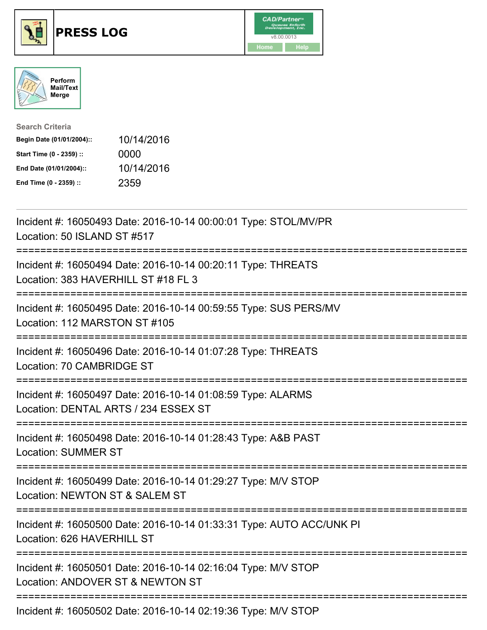





| <b>Search Criteria</b>    |            |
|---------------------------|------------|
| Begin Date (01/01/2004):: | 10/14/2016 |
| Start Time (0 - 2359) ::  | 0000       |
| End Date (01/01/2004)::   | 10/14/2016 |
| End Time (0 - 2359) ::    | 2359       |

| Incident #: 16050493 Date: 2016-10-14 00:00:01 Type: STOL/MV/PR<br>Location: 50 ISLAND ST #517                                  |
|---------------------------------------------------------------------------------------------------------------------------------|
| Incident #: 16050494 Date: 2016-10-14 00:20:11 Type: THREATS<br>Location: 383 HAVERHILL ST #18 FL 3                             |
| Incident #: 16050495 Date: 2016-10-14 00:59:55 Type: SUS PERS/MV<br>Location: 112 MARSTON ST #105                               |
| Incident #: 16050496 Date: 2016-10-14 01:07:28 Type: THREATS<br>Location: 70 CAMBRIDGE ST                                       |
| Incident #: 16050497 Date: 2016-10-14 01:08:59 Type: ALARMS<br>Location: DENTAL ARTS / 234 ESSEX ST<br>------------------------ |
| Incident #: 16050498 Date: 2016-10-14 01:28:43 Type: A&B PAST<br><b>Location: SUMMER ST</b>                                     |
| Incident #: 16050499 Date: 2016-10-14 01:29:27 Type: M/V STOP<br>Location: NEWTON ST & SALEM ST                                 |
| ========================<br>Incident #: 16050500 Date: 2016-10-14 01:33:31 Type: AUTO ACC/UNK PI<br>Location: 626 HAVERHILL ST  |
| ----------------------<br>Incident #: 16050501 Date: 2016-10-14 02:16:04 Type: M/V STOP<br>Location: ANDOVER ST & NEWTON ST     |
| Incident #: 16050502 Date: 2016-10-14 02:19:36 Type: M/V STOP                                                                   |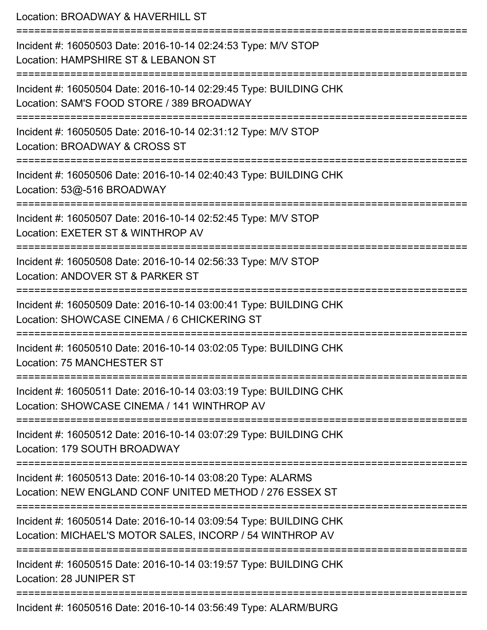Location: BROADWAY & HAVERHILL ST =========================================================================== Incident #: 16050503 Date: 2016-10-14 02:24:53 Type: M/V STOP Location: HAMPSHIRE ST & LEBANON ST =========================================================================== Incident #: 16050504 Date: 2016-10-14 02:29:45 Type: BUILDING CHK Location: SAM'S FOOD STORE / 389 BROADWAY =========================================================================== Incident #: 16050505 Date: 2016-10-14 02:31:12 Type: M/V STOP Location: BROADWAY & CROSS ST =========================================================================== Incident #: 16050506 Date: 2016-10-14 02:40:43 Type: BUILDING CHK Location: 53@-516 BROADWAY =========================================================================== Incident #: 16050507 Date: 2016-10-14 02:52:45 Type: M/V STOP Location: EXETER ST & WINTHROP AV =========================================================================== Incident #: 16050508 Date: 2016-10-14 02:56:33 Type: M/V STOP Location: ANDOVER ST & PARKER ST =========================================================================== Incident #: 16050509 Date: 2016-10-14 03:00:41 Type: BUILDING CHK Location: SHOWCASE CINEMA / 6 CHICKERING ST =========================================================================== Incident #: 16050510 Date: 2016-10-14 03:02:05 Type: BUILDING CHK Location: 75 MANCHESTER ST =========================================================================== Incident #: 16050511 Date: 2016-10-14 03:03:19 Type: BUILDING CHK Location: SHOWCASE CINEMA / 141 WINTHROP AV =========================================================================== Incident #: 16050512 Date: 2016-10-14 03:07:29 Type: BUILDING CHK Location: 179 SOUTH BROADWAY =========================================================================== Incident #: 16050513 Date: 2016-10-14 03:08:20 Type: ALARMS Location: NEW ENGLAND CONF UNITED METHOD / 276 ESSEX ST =========================================================================== Incident #: 16050514 Date: 2016-10-14 03:09:54 Type: BUILDING CHK Location: MICHAEL'S MOTOR SALES, INCORP / 54 WINTHROP AV =========================================================================== Incident #: 16050515 Date: 2016-10-14 03:19:57 Type: BUILDING CHK Location: 28 JUNIPER ST =========================================================================== Incident #: 16050516 Date: 2016-10-14 03:56:49 Type: ALARM/BURG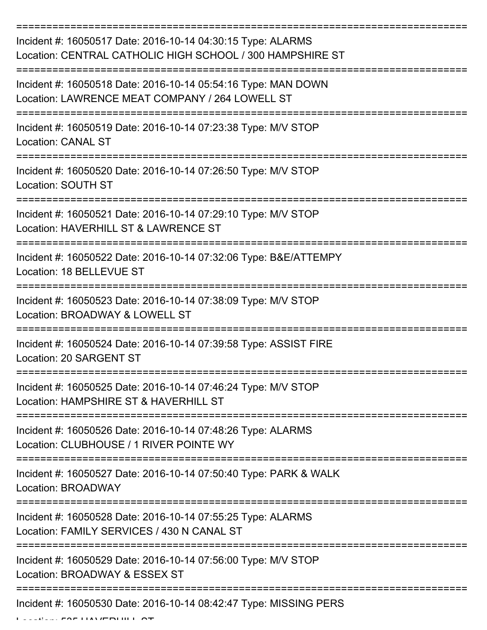| Incident #: 16050517 Date: 2016-10-14 04:30:15 Type: ALARMS<br>Location: CENTRAL CATHOLIC HIGH SCHOOL / 300 HAMPSHIRE ST |
|--------------------------------------------------------------------------------------------------------------------------|
| Incident #: 16050518 Date: 2016-10-14 05:54:16 Type: MAN DOWN<br>Location: LAWRENCE MEAT COMPANY / 264 LOWELL ST         |
| Incident #: 16050519 Date: 2016-10-14 07:23:38 Type: M/V STOP<br><b>Location: CANAL ST</b>                               |
| Incident #: 16050520 Date: 2016-10-14 07:26:50 Type: M/V STOP<br>Location: SOUTH ST                                      |
| Incident #: 16050521 Date: 2016-10-14 07:29:10 Type: M/V STOP<br>Location: HAVERHILL ST & LAWRENCE ST                    |
| Incident #: 16050522 Date: 2016-10-14 07:32:06 Type: B&E/ATTEMPY<br>Location: 18 BELLEVUE ST                             |
| Incident #: 16050523 Date: 2016-10-14 07:38:09 Type: M/V STOP<br>Location: BROADWAY & LOWELL ST                          |
| Incident #: 16050524 Date: 2016-10-14 07:39:58 Type: ASSIST FIRE<br>Location: 20 SARGENT ST                              |
| Incident #: 16050525 Date: 2016-10-14 07:46:24 Type: M/V STOP<br>Location: HAMPSHIRE ST & HAVERHILL ST                   |
| Incident #: 16050526 Date: 2016-10-14 07:48:26 Type: ALARMS<br>Location: CLUBHOUSE / 1 RIVER POINTE WY                   |
| Incident #: 16050527 Date: 2016-10-14 07:50:40 Type: PARK & WALK<br><b>Location: BROADWAY</b>                            |
| Incident #: 16050528 Date: 2016-10-14 07:55:25 Type: ALARMS<br>Location: FAMILY SERVICES / 430 N CANAL ST                |
| Incident #: 16050529 Date: 2016-10-14 07:56:00 Type: M/V STOP<br>Location: BROADWAY & ESSEX ST                           |
| =================<br>Incident #: 16050530 Date: 2016-10-14 08:42:47 Type: MISSING PERS                                   |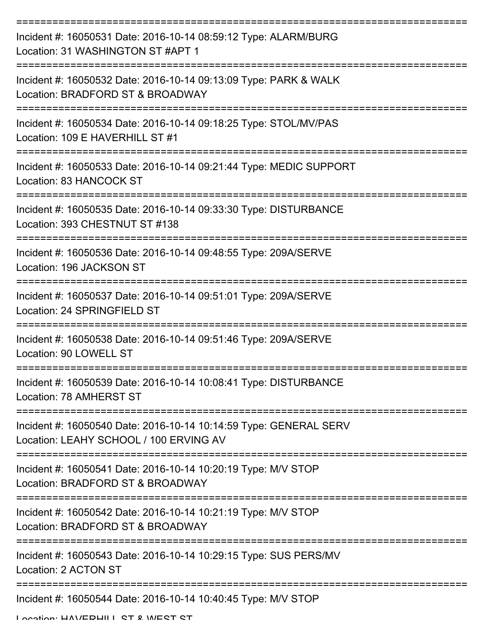| Incident #: 16050531 Date: 2016-10-14 08:59:12 Type: ALARM/BURG<br>Location: 31 WASHINGTON ST#APT 1         |
|-------------------------------------------------------------------------------------------------------------|
| Incident #: 16050532 Date: 2016-10-14 09:13:09 Type: PARK & WALK<br>Location: BRADFORD ST & BROADWAY        |
| Incident #: 16050534 Date: 2016-10-14 09:18:25 Type: STOL/MV/PAS<br>Location: 109 E HAVERHILL ST #1         |
| Incident #: 16050533 Date: 2016-10-14 09:21:44 Type: MEDIC SUPPORT<br>Location: 83 HANCOCK ST               |
| Incident #: 16050535 Date: 2016-10-14 09:33:30 Type: DISTURBANCE<br>Location: 393 CHESTNUT ST #138          |
| Incident #: 16050536 Date: 2016-10-14 09:48:55 Type: 209A/SERVE<br>Location: 196 JACKSON ST                 |
| Incident #: 16050537 Date: 2016-10-14 09:51:01 Type: 209A/SERVE<br>Location: 24 SPRINGFIELD ST              |
| Incident #: 16050538 Date: 2016-10-14 09:51:46 Type: 209A/SERVE<br>Location: 90 LOWELL ST                   |
| Incident #: 16050539 Date: 2016-10-14 10:08:41 Type: DISTURBANCE<br>Location: 78 AMHERST ST                 |
| Incident #: 16050540 Date: 2016-10-14 10:14:59 Type: GENERAL SERV<br>Location: LEAHY SCHOOL / 100 ERVING AV |
| Incident #: 16050541 Date: 2016-10-14 10:20:19 Type: M/V STOP<br>Location: BRADFORD ST & BROADWAY           |
| Incident #: 16050542 Date: 2016-10-14 10:21:19 Type: M/V STOP<br>Location: BRADFORD ST & BROADWAY           |
| Incident #: 16050543 Date: 2016-10-14 10:29:15 Type: SUS PERS/MV<br>Location: 2 ACTON ST                    |
| Incident #: 16050544 Date: 2016-10-14 10:40:45 Type: M/V STOP                                               |

Location: HAVEDHILL ST & WEST ST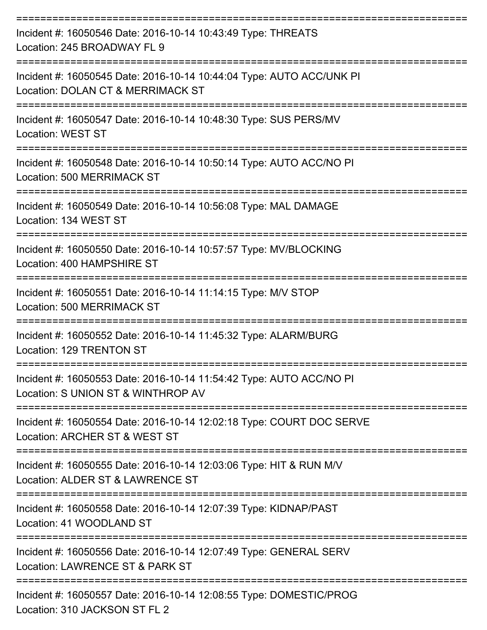| Incident #: 16050546 Date: 2016-10-14 10:43:49 Type: THREATS<br>Location: 245 BROADWAY FL 9                   |
|---------------------------------------------------------------------------------------------------------------|
| Incident #: 16050545 Date: 2016-10-14 10:44:04 Type: AUTO ACC/UNK PI<br>Location: DOLAN CT & MERRIMACK ST     |
| Incident #: 16050547 Date: 2016-10-14 10:48:30 Type: SUS PERS/MV<br><b>Location: WEST ST</b>                  |
| Incident #: 16050548 Date: 2016-10-14 10:50:14 Type: AUTO ACC/NO PI<br>Location: 500 MERRIMACK ST             |
| =================<br>Incident #: 16050549 Date: 2016-10-14 10:56:08 Type: MAL DAMAGE<br>Location: 134 WEST ST |
| Incident #: 16050550 Date: 2016-10-14 10:57:57 Type: MV/BLOCKING<br>Location: 400 HAMPSHIRE ST                |
| Incident #: 16050551 Date: 2016-10-14 11:14:15 Type: M/V STOP<br>Location: 500 MERRIMACK ST                   |
| Incident #: 16050552 Date: 2016-10-14 11:45:32 Type: ALARM/BURG<br>Location: 129 TRENTON ST                   |
| Incident #: 16050553 Date: 2016-10-14 11:54:42 Type: AUTO ACC/NO PI<br>Location: S UNION ST & WINTHROP AV     |
| Incident #: 16050554 Date: 2016-10-14 12:02:18 Type: COURT DOC SERVE<br>Location: ARCHER ST & WEST ST         |
| Incident #: 16050555 Date: 2016-10-14 12:03:06 Type: HIT & RUN M/V<br>Location: ALDER ST & LAWRENCE ST        |
| Incident #: 16050558 Date: 2016-10-14 12:07:39 Type: KIDNAP/PAST<br>Location: 41 WOODLAND ST                  |
| Incident #: 16050556 Date: 2016-10-14 12:07:49 Type: GENERAL SERV<br>Location: LAWRENCE ST & PARK ST          |
| Incident #: 16050557 Date: 2016-10-14 12:08:55 Type: DOMESTIC/PROG<br>Location: 310 JACKSON ST FL 2           |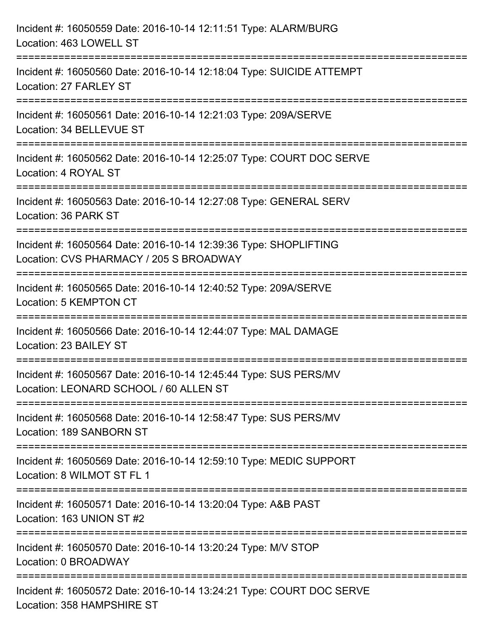| Incident #: 16050559 Date: 2016-10-14 12:11:51 Type: ALARM/BURG<br>Location: 463 LOWELL ST                                          |
|-------------------------------------------------------------------------------------------------------------------------------------|
| =================================<br>Incident #: 16050560 Date: 2016-10-14 12:18:04 Type: SUICIDE ATTEMPT<br>Location: 27 FARLEY ST |
| Incident #: 16050561 Date: 2016-10-14 12:21:03 Type: 209A/SERVE<br>Location: 34 BELLEVUE ST                                         |
| Incident #: 16050562 Date: 2016-10-14 12:25:07 Type: COURT DOC SERVE<br>Location: 4 ROYAL ST<br>----------------------------------- |
| Incident #: 16050563 Date: 2016-10-14 12:27:08 Type: GENERAL SERV<br>Location: 36 PARK ST                                           |
| Incident #: 16050564 Date: 2016-10-14 12:39:36 Type: SHOPLIFTING<br>Location: CVS PHARMACY / 205 S BROADWAY                         |
| :=================================<br>Incident #: 16050565 Date: 2016-10-14 12:40:52 Type: 209A/SERVE<br>Location: 5 KEMPTON CT     |
| Incident #: 16050566 Date: 2016-10-14 12:44:07 Type: MAL DAMAGE<br>Location: 23 BAILEY ST                                           |
| Incident #: 16050567 Date: 2016-10-14 12:45:44 Type: SUS PERS/MV<br>Location: LEONARD SCHOOL / 60 ALLEN ST                          |
| Incident #: 16050568 Date: 2016-10-14 12:58:47 Type: SUS PERS/MV<br>Location: 189 SANBORN ST                                        |
| Incident #: 16050569 Date: 2016-10-14 12:59:10 Type: MEDIC SUPPORT<br>Location: 8 WILMOT ST FL 1                                    |
| Incident #: 16050571 Date: 2016-10-14 13:20:04 Type: A&B PAST<br>Location: 163 UNION ST #2                                          |
| Incident #: 16050570 Date: 2016-10-14 13:20:24 Type: M/V STOP<br>Location: 0 BROADWAY                                               |
| Incident #: 16050572 Date: 2016-10-14 13:24:21 Type: COURT DOC SERVE<br>Location: 358 HAMPSHIRE ST                                  |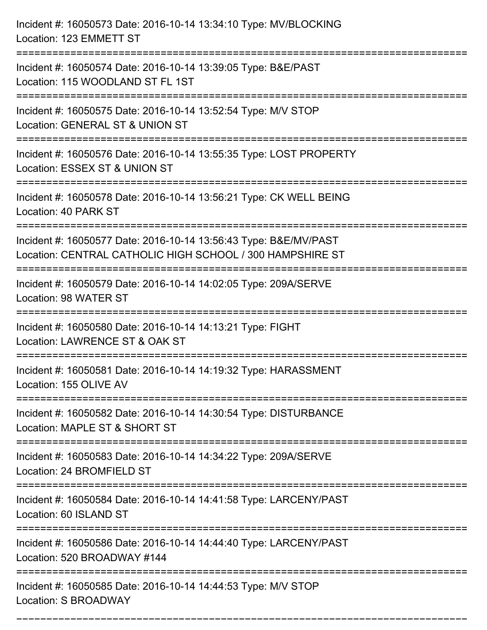| Incident #: 16050573 Date: 2016-10-14 13:34:10 Type: MV/BLOCKING<br>Location: 123 EMMETT ST                                    |
|--------------------------------------------------------------------------------------------------------------------------------|
| Incident #: 16050574 Date: 2016-10-14 13:39:05 Type: B&E/PAST<br>Location: 115 WOODLAND ST FL 1ST                              |
| Incident #: 16050575 Date: 2016-10-14 13:52:54 Type: M/V STOP<br>Location: GENERAL ST & UNION ST                               |
| Incident #: 16050576 Date: 2016-10-14 13:55:35 Type: LOST PROPERTY<br>Location: ESSEX ST & UNION ST<br>======================= |
| Incident #: 16050578 Date: 2016-10-14 13:56:21 Type: CK WELL BEING<br>Location: 40 PARK ST                                     |
| Incident #: 16050577 Date: 2016-10-14 13:56:43 Type: B&E/MV/PAST<br>Location: CENTRAL CATHOLIC HIGH SCHOOL / 300 HAMPSHIRE ST  |
| :================================<br>Incident #: 16050579 Date: 2016-10-14 14:02:05 Type: 209A/SERVE<br>Location: 98 WATER ST  |
| Incident #: 16050580 Date: 2016-10-14 14:13:21 Type: FIGHT<br>Location: LAWRENCE ST & OAK ST                                   |
| Incident #: 16050581 Date: 2016-10-14 14:19:32 Type: HARASSMENT<br>Location: 155 OLIVE AV                                      |
| Incident #: 16050582 Date: 2016-10-14 14:30:54 Type: DISTURBANCE<br>Location: MAPLE ST & SHORT ST                              |
| Incident #: 16050583 Date: 2016-10-14 14:34:22 Type: 209A/SERVE<br>Location: 24 BROMFIELD ST                                   |
| Incident #: 16050584 Date: 2016-10-14 14:41:58 Type: LARCENY/PAST<br>Location: 60 ISLAND ST                                    |
| Incident #: 16050586 Date: 2016-10-14 14:44:40 Type: LARCENY/PAST<br>Location: 520 BROADWAY #144                               |
| Incident #: 16050585 Date: 2016-10-14 14:44:53 Type: M/V STOP<br>Location: S BROADWAY                                          |

===========================================================================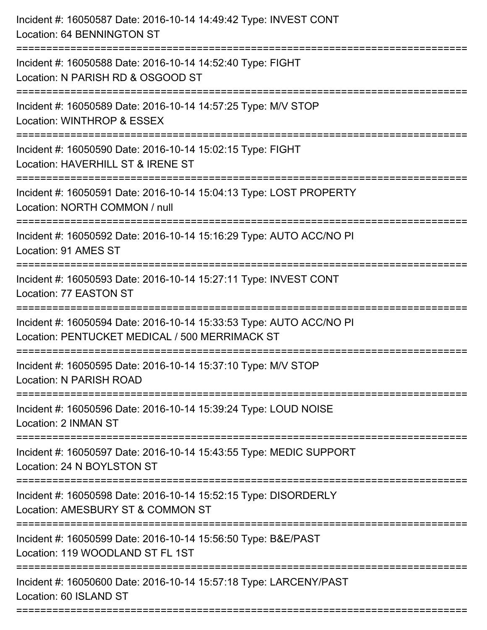| Incident #: 16050587 Date: 2016-10-14 14:49:42 Type: INVEST CONT<br>Location: 64 BENNINGTON ST                             |
|----------------------------------------------------------------------------------------------------------------------------|
| Incident #: 16050588 Date: 2016-10-14 14:52:40 Type: FIGHT<br>Location: N PARISH RD & OSGOOD ST                            |
| Incident #: 16050589 Date: 2016-10-14 14:57:25 Type: M/V STOP<br>Location: WINTHROP & ESSEX                                |
| Incident #: 16050590 Date: 2016-10-14 15:02:15 Type: FIGHT<br>Location: HAVERHILL ST & IRENE ST                            |
| Incident #: 16050591 Date: 2016-10-14 15:04:13 Type: LOST PROPERTY<br>Location: NORTH COMMON / null<br>:222222222222222222 |
| Incident #: 16050592 Date: 2016-10-14 15:16:29 Type: AUTO ACC/NO PI<br>Location: 91 AMES ST                                |
| Incident #: 16050593 Date: 2016-10-14 15:27:11 Type: INVEST CONT<br>Location: 77 EASTON ST                                 |
| Incident #: 16050594 Date: 2016-10-14 15:33:53 Type: AUTO ACC/NO PI<br>Location: PENTUCKET MEDICAL / 500 MERRIMACK ST      |
| Incident #: 16050595 Date: 2016-10-14 15:37:10 Type: M/V STOP<br><b>Location: N PARISH ROAD</b>                            |
| Incident #: 16050596 Date: 2016-10-14 15:39:24 Type: LOUD NOISE<br>Location: 2 INMAN ST                                    |
| Incident #: 16050597 Date: 2016-10-14 15:43:55 Type: MEDIC SUPPORT<br>Location: 24 N BOYLSTON ST                           |
| Incident #: 16050598 Date: 2016-10-14 15:52:15 Type: DISORDERLY<br>Location: AMESBURY ST & COMMON ST                       |
| Incident #: 16050599 Date: 2016-10-14 15:56:50 Type: B&E/PAST<br>Location: 119 WOODLAND ST FL 1ST                          |
| Incident #: 16050600 Date: 2016-10-14 15:57:18 Type: LARCENY/PAST<br>Location: 60 ISLAND ST                                |
|                                                                                                                            |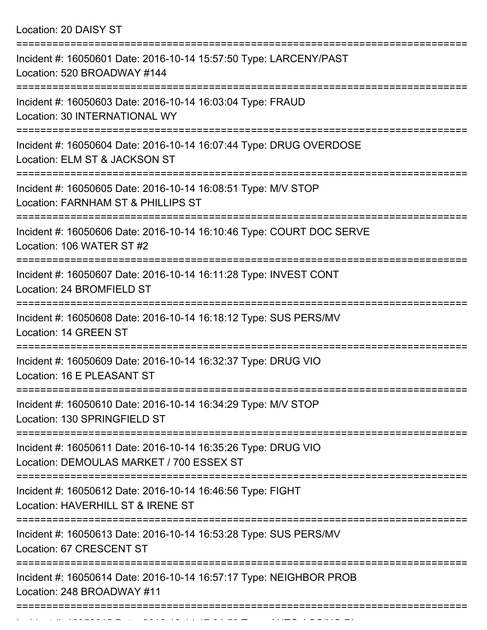Location: 20 DAISY ST

| Incident #: 16050601 Date: 2016-10-14 15:57:50 Type: LARCENY/PAST<br>Location: 520 BROADWAY #144          |
|-----------------------------------------------------------------------------------------------------------|
| Incident #: 16050603 Date: 2016-10-14 16:03:04 Type: FRAUD<br>Location: 30 INTERNATIONAL WY               |
| Incident #: 16050604 Date: 2016-10-14 16:07:44 Type: DRUG OVERDOSE<br>Location: ELM ST & JACKSON ST       |
| Incident #: 16050605 Date: 2016-10-14 16:08:51 Type: M/V STOP<br>Location: FARNHAM ST & PHILLIPS ST       |
| Incident #: 16050606 Date: 2016-10-14 16:10:46 Type: COURT DOC SERVE<br>Location: 106 WATER ST #2         |
| Incident #: 16050607 Date: 2016-10-14 16:11:28 Type: INVEST CONT<br>Location: 24 BROMFIELD ST             |
| Incident #: 16050608 Date: 2016-10-14 16:18:12 Type: SUS PERS/MV<br>Location: 14 GREEN ST                 |
| Incident #: 16050609 Date: 2016-10-14 16:32:37 Type: DRUG VIO<br>Location: 16 E PLEASANT ST               |
| Incident #: 16050610 Date: 2016-10-14 16:34:29 Type: M/V STOP<br>Location: 130 SPRINGFIELD ST             |
| Incident #: 16050611 Date: 2016-10-14 16:35:26 Type: DRUG VIO<br>Location: DEMOULAS MARKET / 700 ESSEX ST |
| Incident #: 16050612 Date: 2016-10-14 16:46:56 Type: FIGHT<br>Location: HAVERHILL ST & IRENE ST           |
| Incident #: 16050613 Date: 2016-10-14 16:53:28 Type: SUS PERS/MV<br>Location: 67 CRESCENT ST              |
| Incident #: 16050614 Date: 2016-10-14 16:57:17 Type: NEIGHBOR PROB<br>Location: 248 BROADWAY #11          |
|                                                                                                           |

Incident #: 16050615 Date: 2016 10 14 17:34:50 Type: AUTO ACC/NO PI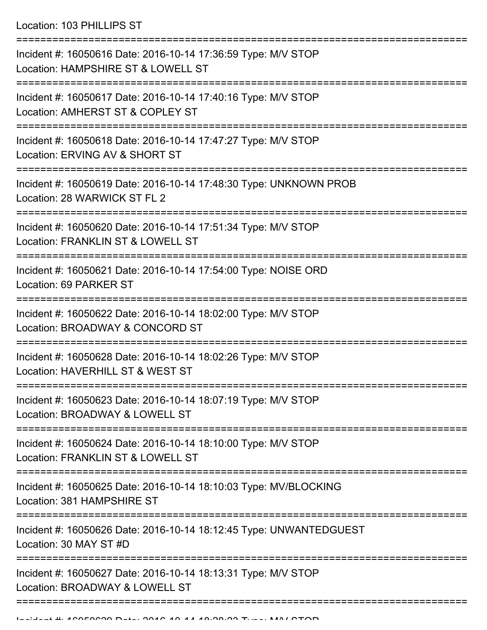Location: 103 PHILLIPS ST

| Incident #: 16050616 Date: 2016-10-14 17:36:59 Type: M/V STOP<br>Location: HAMPSHIRE ST & LOWELL ST<br>-------------------          |
|-------------------------------------------------------------------------------------------------------------------------------------|
| Incident #: 16050617 Date: 2016-10-14 17:40:16 Type: M/V STOP<br>Location: AMHERST ST & COPLEY ST                                   |
| Incident #: 16050618 Date: 2016-10-14 17:47:27 Type: M/V STOP<br>Location: ERVING AV & SHORT ST                                     |
| Incident #: 16050619 Date: 2016-10-14 17:48:30 Type: UNKNOWN PROB<br>Location: 28 WARWICK ST FL 2<br>--------------<br>------------ |
| Incident #: 16050620 Date: 2016-10-14 17:51:34 Type: M/V STOP<br>Location: FRANKLIN ST & LOWELL ST                                  |
| Incident #: 16050621 Date: 2016-10-14 17:54:00 Type: NOISE ORD<br>Location: 69 PARKER ST                                            |
| ===================<br>Incident #: 16050622 Date: 2016-10-14 18:02:00 Type: M/V STOP<br>Location: BROADWAY & CONCORD ST             |
| Incident #: 16050628 Date: 2016-10-14 18:02:26 Type: M/V STOP<br>Location: HAVERHILL ST & WEST ST                                   |
| Incident #: 16050623 Date: 2016-10-14 18:07:19 Type: M/V STOP<br>Location: BROADWAY & LOWELL ST                                     |
| Incident #: 16050624 Date: 2016-10-14 18:10:00 Type: M/V STOP<br>Location: FRANKLIN ST & LOWELL ST                                  |
| Incident #: 16050625 Date: 2016-10-14 18:10:03 Type: MV/BLOCKING<br>Location: 381 HAMPSHIRE ST                                      |
| Incident #: 16050626 Date: 2016-10-14 18:12:45 Type: UNWANTEDGUEST<br>Location: 30 MAY ST #D                                        |
| Incident #: 16050627 Date: 2016-10-14 18:13:31 Type: M/V STOP<br>Location: BROADWAY & LOWELL ST                                     |
|                                                                                                                                     |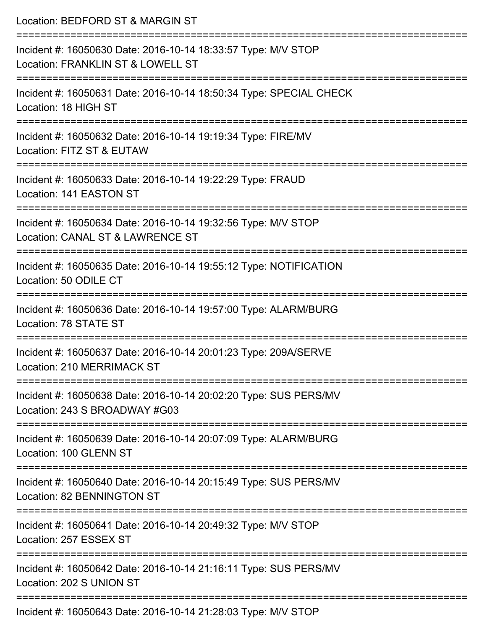| Location: BEDFORD ST & MARGIN ST                                                                                                    |
|-------------------------------------------------------------------------------------------------------------------------------------|
| Incident #: 16050630 Date: 2016-10-14 18:33:57 Type: M/V STOP<br>Location: FRANKLIN ST & LOWELL ST<br>===========================   |
| Incident #: 16050631 Date: 2016-10-14 18:50:34 Type: SPECIAL CHECK<br>Location: 18 HIGH ST                                          |
| Incident #: 16050632 Date: 2016-10-14 19:19:34 Type: FIRE/MV<br>Location: FITZ ST & EUTAW                                           |
| :==================================<br>Incident #: 16050633 Date: 2016-10-14 19:22:29 Type: FRAUD<br>Location: 141 EASTON ST        |
| Incident #: 16050634 Date: 2016-10-14 19:32:56 Type: M/V STOP<br>Location: CANAL ST & LAWRENCE ST                                   |
| ===================<br>Incident #: 16050635 Date: 2016-10-14 19:55:12 Type: NOTIFICATION<br>Location: 50 ODILE CT                   |
| Incident #: 16050636 Date: 2016-10-14 19:57:00 Type: ALARM/BURG<br>Location: 78 STATE ST                                            |
| Incident #: 16050637 Date: 2016-10-14 20:01:23 Type: 209A/SERVE<br>Location: 210 MERRIMACK ST                                       |
| ==============================<br>Incident #: 16050638 Date: 2016-10-14 20:02:20 Type: SUS PERS/MV<br>Location: 243 S BROADWAY #G03 |
| Incident #: 16050639 Date: 2016-10-14 20:07:09 Type: ALARM/BURG<br>Location: 100 GLENN ST                                           |
| -----------------------<br>Incident #: 16050640 Date: 2016-10-14 20:15:49 Type: SUS PERS/MV<br>Location: 82 BENNINGTON ST           |
| Incident #: 16050641 Date: 2016-10-14 20:49:32 Type: M/V STOP<br>Location: 257 ESSEX ST                                             |
| Incident #: 16050642 Date: 2016-10-14 21:16:11 Type: SUS PERS/MV<br>Location: 202 S UNION ST                                        |
| Incident #: 16050643 Date: 2016-10-14 21:28:03 Type: M/V STOP                                                                       |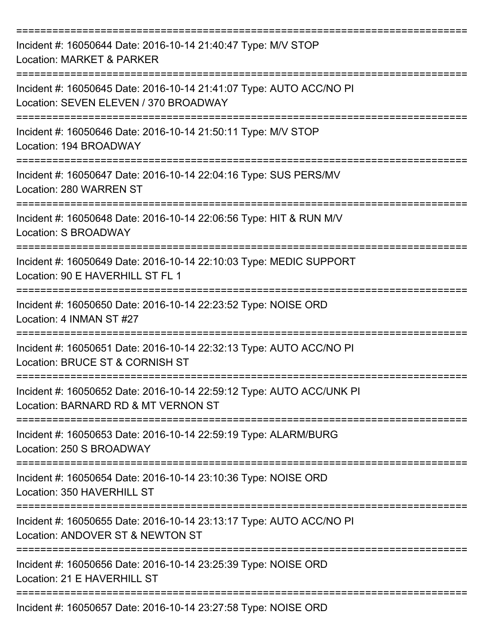| Incident #: 16050644 Date: 2016-10-14 21:40:47 Type: M/V STOP<br>Location: MARKET & PARKER                   |
|--------------------------------------------------------------------------------------------------------------|
| Incident #: 16050645 Date: 2016-10-14 21:41:07 Type: AUTO ACC/NO PI<br>Location: SEVEN ELEVEN / 370 BROADWAY |
| Incident #: 16050646 Date: 2016-10-14 21:50:11 Type: M/V STOP<br>Location: 194 BROADWAY                      |
| Incident #: 16050647 Date: 2016-10-14 22:04:16 Type: SUS PERS/MV<br>Location: 280 WARREN ST                  |
| Incident #: 16050648 Date: 2016-10-14 22:06:56 Type: HIT & RUN M/V<br>Location: S BROADWAY                   |
| Incident #: 16050649 Date: 2016-10-14 22:10:03 Type: MEDIC SUPPORT<br>Location: 90 E HAVERHILL ST FL 1       |
| Incident #: 16050650 Date: 2016-10-14 22:23:52 Type: NOISE ORD<br>Location: 4 INMAN ST #27                   |
| Incident #: 16050651 Date: 2016-10-14 22:32:13 Type: AUTO ACC/NO PI<br>Location: BRUCE ST & CORNISH ST       |
| Incident #: 16050652 Date: 2016-10-14 22:59:12 Type: AUTO ACC/UNK PI<br>Location: BARNARD RD & MT VERNON ST  |
| Incident #: 16050653 Date: 2016-10-14 22:59:19 Type: ALARM/BURG<br>Location: 250 S BROADWAY                  |
| Incident #: 16050654 Date: 2016-10-14 23:10:36 Type: NOISE ORD<br>Location: 350 HAVERHILL ST                 |
| Incident #: 16050655 Date: 2016-10-14 23:13:17 Type: AUTO ACC/NO PI<br>Location: ANDOVER ST & NEWTON ST      |
| Incident #: 16050656 Date: 2016-10-14 23:25:39 Type: NOISE ORD<br>Location: 21 E HAVERHILL ST                |
| Incident #: 16050657 Date: 2016-10-14 23:27:58 Type: NOISE ORD                                               |